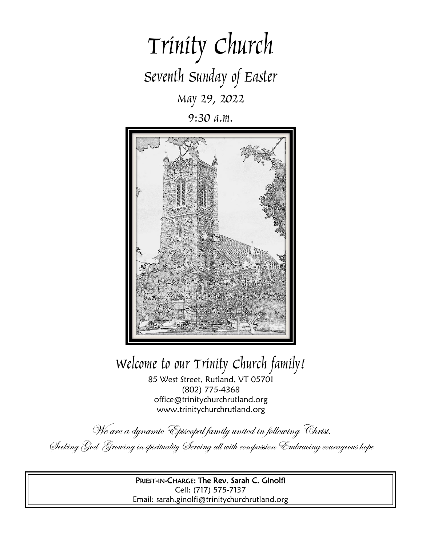

9:30 a.m.



# Welcome to our Trinity Church family!

85 West Street, Rutland, VT 05701 (802) 775-4368 office@trinitychurchrutland.org www.trinitychurchrutland.org

We are a dynamic Episcopal family united in following Christ. Seeking God Growing in spirituality Serving all with compassion Embracing courageous hope

> PRIEST-IN-CHARGE: The Rev. Sarah C. Ginolfi Cell: (717) 575-7137 Email: sarah.ginolfi@trinitychurchrutland.org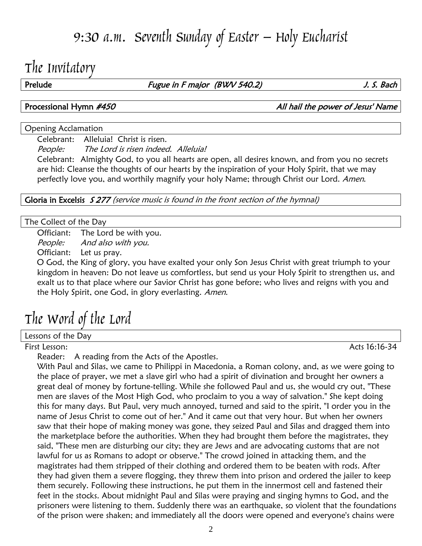## 9:30 a.m. Seventh Sunday of Easter – Holy Eucharist

## The Invitatory

Prelude Fugue in F major (BWV 540.2) S. Bach

Processional Hymn #450 **All hail the power of Jesus' Name** 

#### Opening Acclamation

Celebrant: Alleluia! Christ is risen.

People: The Lord is risen indeed. Alleluia!

Celebrant: Almighty God, to you all hearts are open, all desires known, and from you no secrets are hid: Cleanse the thoughts of our hearts by the inspiration of your Holy Spirit, that we may perfectly love you, and worthily magnify your holy Name; through Christ our Lord. Amen.

Gloria in Excelsis 5277 (service music is found in the front section of the hymnal)

#### The Collect of the Day

Officiant: The Lord be with you.

People: And also with you.

Officiant: Let us pray.

O God, the King of glory, you have exalted your only Son Jesus Christ with great triumph to your kingdom in heaven: Do not leave us comfortless, but send us your Holy Spirit to strengthen us, and exalt us to that place where our Savior Christ has gone before; who lives and reigns with you and the Holy Spirit, one God, in glory everlasting. Amen.

# The Word of the Lord

Lessons of the Day

First Lesson: Acts 16:16-34

Reader: A reading from the Acts of the Apostles.

With Paul and Silas, we came to Philippi in Macedonia, a Roman colony, and, as we were going to the place of prayer, we met a slave girl who had a spirit of divination and brought her owners a great deal of money by fortune-telling. While she followed Paul and us, she would cry out, "These men are slaves of the Most High God, who proclaim to you a way of salvation." She kept doing this for many days. But Paul, very much annoyed, turned and said to the spirit, "I order you in the name of Jesus Christ to come out of her." And it came out that very hour. But when her owners saw that their hope of making money was gone, they seized Paul and Silas and dragged them into the marketplace before the authorities. When they had brought them before the magistrates, they said, "These men are disturbing our city; they are Jews and are advocating customs that are not lawful for us as Romans to adopt or observe." The crowd joined in attacking them, and the magistrates had them stripped of their clothing and ordered them to be beaten with rods. After they had given them a severe flogging, they threw them into prison and ordered the jailer to keep them securely. Following these instructions, he put them in the innermost cell and fastened their feet in the stocks. About midnight Paul and Silas were praying and singing hymns to God, and the prisoners were listening to them. Suddenly there was an earthquake, so violent that the foundations of the prison were shaken; and immediately all the doors were opened and everyone's chains were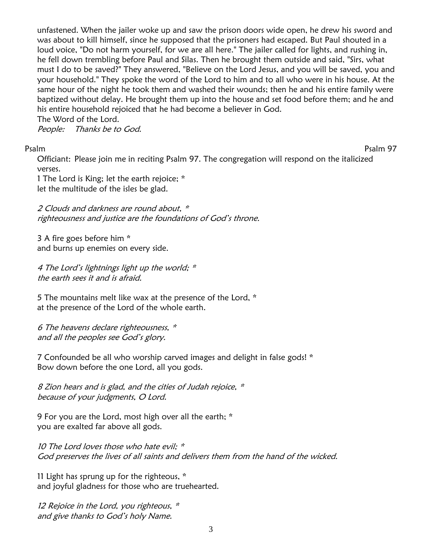unfastened. When the jailer woke up and saw the prison doors wide open, he drew his sword and was about to kill himself, since he supposed that the prisoners had escaped. But Paul shouted in a loud voice, "Do not harm yourself, for we are all here." The jailer called for lights, and rushing in, he fell down trembling before Paul and Silas. Then he brought them outside and said, "Sirs, what must I do to be saved?" They answered, "Believe on the Lord Jesus, and you will be saved, you and your household." They spoke the word of the Lord to him and to all who were in his house. At the same hour of the night he took them and washed their wounds; then he and his entire family were baptized without delay. He brought them up into the house and set food before them; and he and his entire household rejoiced that he had become a believer in God.

The Word of the Lord.

People: Thanks be to God.

Psalm Psalm 97

Officiant: Please join me in reciting Psalm 97. The congregation will respond on the italicized verses.

1 The Lord is King; let the earth rejoice; \* let the multitude of the isles be glad.

2 Clouds and darkness are round about, \* righteousness and justice are the foundations of God'<sup>s</sup> throne.

3 A fire goes before him \* and burns up enemies on every side.

4 The Lord's lightnings light up the world; \* the earth sees it and is afraid.

5 The mountains melt like wax at the presence of the Lord, \* at the presence of the Lord of the whole earth.

6 The heavens declare righteousness, \* and all the peoples see God'<sup>s</sup> glory.

7 Confounded be all who worship carved images and delight in false gods! \* Bow down before the one Lord, all you gods.

8 Zion hears and is glad, and the cities of Judah rejoice, \* because of your judgments, O Lord.

9 For you are the Lord, most high over all the earth; \* you are exalted far above all gods.

10 The Lord loves those who hate evil;  $*$ God preserves the lives of all saints and delivers them from the hand of the wicked.

11 Light has sprung up for the righteous, \* and joyful gladness for those who are truehearted.

12 Rejoice in the Lord, you righteous,  $*$ and give thanks to God'<sup>s</sup> holy Name.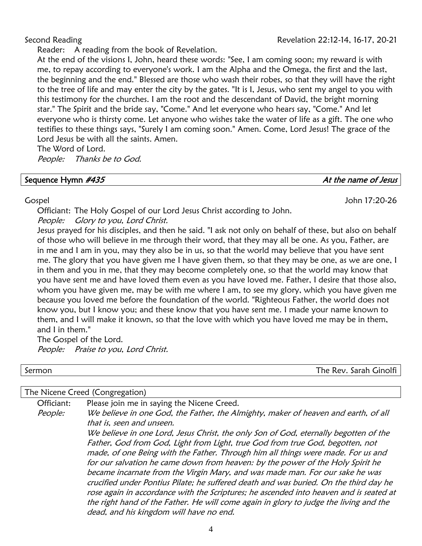Reader: A reading from the book of Revelation.

At the end of the visions I, John, heard these words: "See, I am coming soon; my reward is with me, to repay according to everyone's work. I am the Alpha and the Omega, the first and the last, the beginning and the end." Blessed are those who wash their robes, so that they will have the right to the tree of life and may enter the city by the gates. "It is I, Jesus, who sent my angel to you with this testimony for the churches. I am the root and the descendant of David, the bright morning star." The Spirit and the bride say, "Come." And let everyone who hears say, "Come." And let everyone who is thirsty come. Let anyone who wishes take the water of life as a gift. The one who testifies to these things says, "Surely I am coming soon." Amen. Come, Lord Jesus! The grace of the Lord Jesus be with all the saints. Amen.

The Word of Lord.

People: Thanks be to God.

### Sequence Hymn  $\#435$  At the name of Jesus

### Gospel John 17:20-26

Officiant: The Holy Gospel of our Lord Jesus Christ according to John.

People: Glory to you, Lord Christ.

Jesus prayed for his disciples, and then he said. "I ask not only on behalf of these, but also on behalf of those who will believe in me through their word, that they may all be one. As you, Father, are in me and I am in you, may they also be in us, so that the world may believe that you have sent me. The glory that you have given me I have given them, so that they may be one, as we are one, I in them and you in me, that they may become completely one, so that the world may know that you have sent me and have loved them even as you have loved me. Father, I desire that those also, whom you have given me, may be with me where I am, to see my glory, which you have given me because you loved me before the foundation of the world. "Righteous Father, the world does not know you, but I know you; and these know that you have sent me. I made your name known to them, and I will make it known, so that the love with which you have loved me may be in them, and I in them."

The Gospel of the Lord. People: Praise to you, Lord Christ.

Sermon The Rev. Sarah Ginolfi

### The Nicene Creed (Congregation)

Officiant: Please join me in saying the Nicene Creed. People: We believe in one God, the Father, the Almighty, maker of heaven and earth, of all that is, seen and unseen. We believe in one Lord, Jesus Christ, the only Son of God, eternally begotten of the Father, God from God, Light from Light, true God from true God, begotten, not made, of one Being with the Father. Through him all things were made. For us and for our salvation he came down from heaven: by the power of the Holy Spirit he became incarnate from the Virgin Mary, and was made man. For our sake he was crucified under Pontius Pilate; he suffered death and was buried. On the third day he rose again in accordance with the Scriptures; he ascended into heaven and is seated at the right hand of the Father. He will come again in glory to judge the living and the dead, and his kingdom will have no end.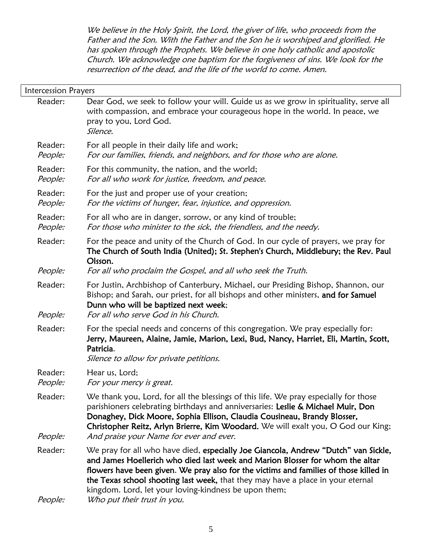We believe in the Holy Spirit, the Lord, the giver of life, who proceeds from the Father and the Son. With the Father and the Son he is worshiped and glorified. He has spoken through the Prophets. We believe in one holy catholic and apostolic Church. We acknowledge one baptism for the forgiveness of sins. We look for the resurrection of the dead, and the life of the world to come. Amen.

| Intercession Prayers |                                                                                                                                                                                                                                                                                                                                                                                                                                         |
|----------------------|-----------------------------------------------------------------------------------------------------------------------------------------------------------------------------------------------------------------------------------------------------------------------------------------------------------------------------------------------------------------------------------------------------------------------------------------|
| Reader:              | Dear God, we seek to follow your will. Guide us as we grow in spirituality, serve all<br>with compassion, and embrace your courageous hope in the world. In peace, we<br>pray to you, Lord God.<br>Silence.                                                                                                                                                                                                                             |
| Reader:<br>People:   | For all people in their daily life and work;<br>For our families, friends, and neighbors, and for those who are alone.                                                                                                                                                                                                                                                                                                                  |
| Reader:<br>People:   | For this community, the nation, and the world;<br>For all who work for justice, freedom, and peace.                                                                                                                                                                                                                                                                                                                                     |
| Reader:<br>People:   | For the just and proper use of your creation;<br>For the victims of hunger, fear, injustice, and oppression.                                                                                                                                                                                                                                                                                                                            |
| Reader:<br>People:   | For all who are in danger, sorrow, or any kind of trouble;<br>For those who minister to the sick, the friendless, and the needy.                                                                                                                                                                                                                                                                                                        |
| Reader:              | For the peace and unity of the Church of God. In our cycle of prayers, we pray for<br>The Church of South India (United); St. Stephen's Church, Middlebury; the Rev. Paul<br>Olsson.                                                                                                                                                                                                                                                    |
| People:              | For all who proclaim the Gospel, and all who seek the Truth.                                                                                                                                                                                                                                                                                                                                                                            |
| Reader:<br>People:   | For Justin, Archbishop of Canterbury, Michael, our Presiding Bishop, Shannon, our<br>Bishop; and Sarah, our priest, for all bishops and other ministers, and for Samuel<br>Dunn who will be baptized next week;<br>For all who serve God in his Church.                                                                                                                                                                                 |
| Reader:              | For the special needs and concerns of this congregation. We pray especially for:<br>Jerry, Maureen, Alaine, Jamie, Marion, Lexi, Bud, Nancy, Harriet, Eli, Martin, Scott,<br>Patricia.<br>Silence to allow for private petitions.                                                                                                                                                                                                       |
| Reader:<br>People:   | Hear us, Lord;<br>For your mercy is great.                                                                                                                                                                                                                                                                                                                                                                                              |
| Reader:<br>People:   | We thank you, Lord, for all the blessings of this life. We pray especially for those<br>parishioners celebrating birthdays and anniversaries: Leslie & Michael Muir, Don<br>Donaghey, Dick Moore, Sophia Ellison, Claudia Cousineau, Brandy Blosser,<br>Christopher Reitz, Arlyn Brierre, Kim Woodard. We will exalt you, O God our King;<br>And praise your Name for ever and ever.                                                    |
| Reader:<br>People:   | We pray for all who have died, especially Joe Giancola, Andrew "Dutch" van Sickle,<br>and James Hoellerich who died last week and Marion Blosser for whom the altar<br>flowers have been given. We pray also for the victims and families of those killed in<br>the Texas school shooting last week, that they may have a place in your eternal<br>kingdom. Lord, let your loving-kindness be upon them;<br>Who put their trust in you. |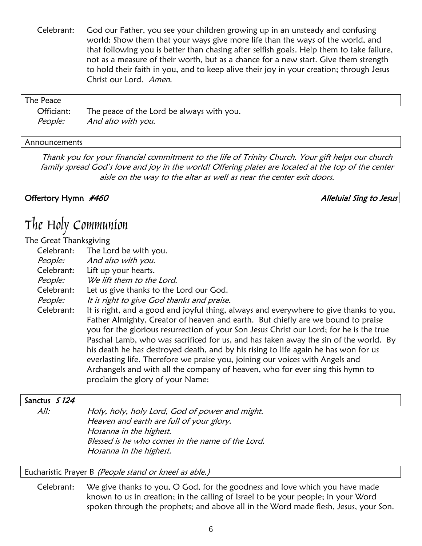Celebrant: God our Father, you see your children growing up in an unsteady and confusing world: Show them that your ways give more life than the ways of the world, and that following you is better than chasing after selfish goals. Help them to take failure, not as a measure of their worth, but as a chance for a new start. Give them strength to hold their faith in you, and to keep alive their joy in your creation; through Jesus Christ our Lord. Amen.

| The Peace      |                                           |
|----------------|-------------------------------------------|
| Officiant:     | The peace of the Lord be always with you. |
| <i>People:</i> | And also with you.                        |

#### Announcements

Thank you for your financial commitment to the life of Trinity Church. Your gift helps our church family spread God's love and joy in the world! Offering plates are located at the top of the center aisle on the way to the altar as well as near the center exit doors.

Offertory Hymn #460 Alleluia! Sing to Jesus

## The Holy Communion

#### The Great Thanksgiving

| Celebrant:<br>The Lord be with you.<br>And also with you.<br>People:<br>Celebrant:<br>Lift up your hearts.<br>People:<br>We lift them to the Lord.<br>Celebrant:<br>Let us give thanks to the Lord our God.<br>It is right to give God thanks and praise.<br>People:<br>Celebrant:<br>everlasting life. Therefore we praise you, joining our voices with Angels and<br>proclaim the glory of your Name: | $\sim$ or cat in an independent |                                                                                                                                                                                                                                                                                                                                                                                                                                                                                                                                       |
|---------------------------------------------------------------------------------------------------------------------------------------------------------------------------------------------------------------------------------------------------------------------------------------------------------------------------------------------------------------------------------------------------------|---------------------------------|---------------------------------------------------------------------------------------------------------------------------------------------------------------------------------------------------------------------------------------------------------------------------------------------------------------------------------------------------------------------------------------------------------------------------------------------------------------------------------------------------------------------------------------|
|                                                                                                                                                                                                                                                                                                                                                                                                         |                                 |                                                                                                                                                                                                                                                                                                                                                                                                                                                                                                                                       |
|                                                                                                                                                                                                                                                                                                                                                                                                         |                                 |                                                                                                                                                                                                                                                                                                                                                                                                                                                                                                                                       |
|                                                                                                                                                                                                                                                                                                                                                                                                         |                                 |                                                                                                                                                                                                                                                                                                                                                                                                                                                                                                                                       |
|                                                                                                                                                                                                                                                                                                                                                                                                         |                                 |                                                                                                                                                                                                                                                                                                                                                                                                                                                                                                                                       |
|                                                                                                                                                                                                                                                                                                                                                                                                         |                                 |                                                                                                                                                                                                                                                                                                                                                                                                                                                                                                                                       |
|                                                                                                                                                                                                                                                                                                                                                                                                         |                                 |                                                                                                                                                                                                                                                                                                                                                                                                                                                                                                                                       |
|                                                                                                                                                                                                                                                                                                                                                                                                         |                                 | It is right, and a good and joyful thing, always and everywhere to give thanks to you,<br>Father Almighty, Creator of heaven and earth. But chiefly are we bound to praise<br>you for the glorious resurrection of your Son Jesus Christ our Lord; for he is the true<br>Paschal Lamb, who was sacrificed for us, and has taken away the sin of the world. By<br>his death he has destroyed death, and by his rising to life again he has won for us<br>Archangels and with all the company of heaven, who for ever sing this hymn to |

### Sanctus S 124

All: Holy, holy, holy Lord, God of power and might. Heaven and earth are full of your glory. Hosanna in the highest. Blessed is he who comes in the name of the Lord. Hosanna in the highest.

Eucharistic Prayer B (People stand or kneel as able.)

Celebrant: We give thanks to you, O God, for the goodness and love which you have made known to us in creation; in the calling of Israel to be your people; in your Word spoken through the prophets; and above all in the Word made flesh, Jesus, your Son.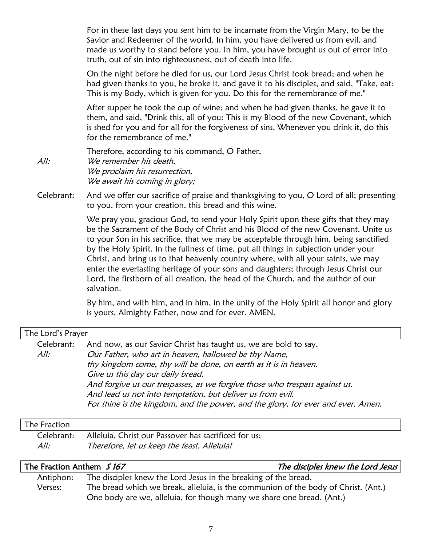For in these last days you sent him to be incarnate from the Virgin Mary, to be the Savior and Redeemer of the world. In him, you have delivered us from evil, and made us worthy to stand before you. In him, you have brought us out of error into truth, out of sin into righteousness, out of death into life.

On the night before he died for us, our Lord Jesus Christ took bread; and when he had given thanks to you, he broke it, and gave it to his disciples, and said, "Take, eat: This is my Body, which is given for you. Do this for the remembrance of me."

After supper he took the cup of wine; and when he had given thanks, he gave it to them, and said, "Drink this, all of you: This is my Blood of the new Covenant, which is shed for you and for all for the forgiveness of sins. Whenever you drink it, do this for the remembrance of me."

Therefore, according to his command, O Father, All: We remember his death, We proclaim his resurrection, We await his coming in glory;

Celebrant: And we offer our sacrifice of praise and thanksgiving to you, O Lord of all; presenting to you, from your creation, this bread and this wine.

> We pray you, gracious God, to send your Holy Spirit upon these gifts that they may be the Sacrament of the Body of Christ and his Blood of the new Covenant. Unite us to your Son in his sacrifice, that we may be acceptable through him, being sanctified by the Holy Spirit. In the fullness of time, put all things in subjection under your Christ, and bring us to that heavenly country where, with all your saints, we may enter the everlasting heritage of your sons and daughters; through Jesus Christ our Lord, the firstborn of all creation, the head of the Church, and the author of our salvation.

> By him, and with him, and in him, in the unity of the Holy Spirit all honor and glory is yours, Almighty Father, now and for ever. AMEN.

| The Lord's Prayer |                                                                                  |  |  |
|-------------------|----------------------------------------------------------------------------------|--|--|
| Celebrant:        | And now, as our Savior Christ has taught us, we are bold to say,                 |  |  |
| All:              | Our Father, who art in heaven, hallowed be thy Name,                             |  |  |
|                   | thy kingdom come, thy will be done, on earth as it is in heaven.                 |  |  |
|                   | Give us this day our daily bread.                                                |  |  |
|                   | And forgive us our trespasses, as we forgive those who trespass against us.      |  |  |
|                   | And lead us not into temptation, but deliver us from evil.                       |  |  |
|                   | For thine is the kingdom, and the power, and the glory, for ever and ever. Amen. |  |  |
|                   |                                                                                  |  |  |

#### The Fraction

|      | Celebrant: Alleluia, Christ our Passover has sacrificed for us; |
|------|-----------------------------------------------------------------|
| All: | Therefore, let us keep the feast. Alleluia!                     |

| The Fraction Anthem 5167 |                                                                                    | The disciples knew the Lord Jesus |
|--------------------------|------------------------------------------------------------------------------------|-----------------------------------|
| Antiphon:                | The disciples knew the Lord Jesus in the breaking of the bread.                    |                                   |
| Verses:                  | The bread which we break, alleluia, is the communion of the body of Christ. (Ant.) |                                   |
|                          | One body are we, alleluia, for though many we share one bread. (Ant.)              |                                   |